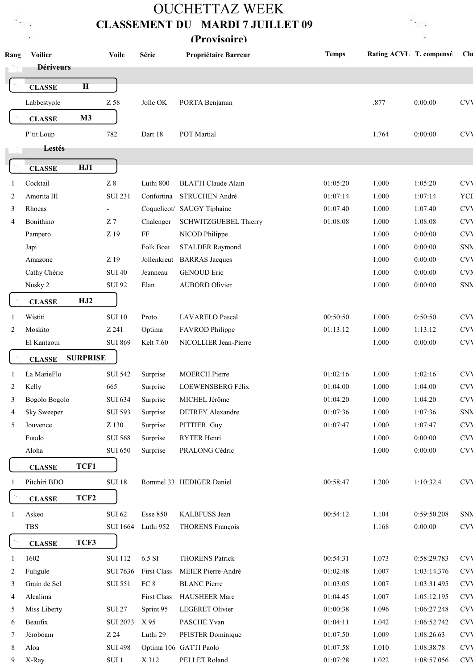## OUCHETTAZ WEEK CLASSEMENT DU MARDI 7 JUILLET 09

R<br>St

 $\sim$ 

(Provisoire)

r<br>Ko  $\sim$ 

| Rang    | <b>Voilier</b><br><b>Dériveurs</b> | <b>Voile</b>                     | Série                 | Propriétaire Barreur              | <b>Temps</b> | Rating ACVL T. compensé |                        | Clu                      |
|---------|------------------------------------|----------------------------------|-----------------------|-----------------------------------|--------------|-------------------------|------------------------|--------------------------|
|         |                                    |                                  |                       |                                   |              |                         |                        |                          |
|         | $\mathbf H$<br><b>CLASSE</b>       |                                  |                       |                                   |              |                         |                        |                          |
|         | Labbestyole                        | Z 58                             | Jolle OK              | PORTA Benjamin                    |              | .877                    | 0:00:00                | <b>CVV</b>               |
|         | M3<br><b>CLASSE</b>                |                                  |                       |                                   |              |                         |                        |                          |
|         | P'tit Loup                         | 782                              | Dart 18               | POT Martial                       |              | 1.764                   | 0:00:00                | <b>CVV</b>               |
|         | Lestés                             |                                  |                       |                                   |              |                         |                        |                          |
|         | HJ1<br><b>CLASSE</b>               |                                  |                       |                                   |              |                         |                        |                          |
|         | Cocktail                           | $\rm Z~8$                        | Luthi 800             | <b>BLATTI</b> Claude Alain        | 01:05:20     | 1.000                   | 1:05:20                | <b>CVV</b>               |
| -1<br>2 | Amorita III                        | <b>SUI 231</b>                   | Confortina            | STRUCHEN André                    | 01:07:14     | 1.000                   | 1:07:14                | YCI                      |
| 3       | Rhoeas                             |                                  |                       | Coquelicot/ SAUGY Tiphaine        | 01:07:40     | 1.000                   | 1:07:40                | <b>CVV</b>               |
| 4       | Bonithino                          | Z <sub>7</sub>                   | Chalenger             | <b>SCHWITZGUEBEL Thierry</b>      | 01:08:08     | 1.000                   | 1:08:08                | <b>CVV</b>               |
|         | Pampero                            | Z 19                             | FF                    | NICOD Philippe                    |              | 1.000                   | 0:00:00                | <b>CVV</b>               |
|         | Japi                               |                                  | Folk Boat             | <b>STALDER Raymond</b>            |              | 1.000                   | 0:00:00                | SNN                      |
|         | Amazone                            | Z 19                             |                       |                                   |              | 1.000                   | 0:00:00                | <b>CVV</b>               |
|         |                                    |                                  |                       | Jollenkreut BARRAS Jacques        |              |                         |                        |                          |
|         | Cathy Chérie                       | <b>SUI 40</b>                    | Jeanneau              | <b>GENOUD Eric</b>                |              | 1.000                   | 0:00:00                | <b>CVN</b>               |
|         | Nusky 2                            | <b>SUI 92</b>                    | Elan                  | <b>AUBORD Olivier</b>             |              | 1.000                   | 0:00:00                | SNN                      |
|         | HJ2<br><b>CLASSE</b>               |                                  |                       |                                   |              |                         |                        |                          |
| -1      | Wistiti                            | <b>SUI 10</b>                    | Proto                 | <b>LAVARELO Pascal</b>            | 00:50:50     | 1.000                   | 0:50:50                | <b>CVV</b>               |
| 2       | Moskito                            | Z 241                            | Optima                | FAVROD Philippe                   | 01:13:12     | 1.000                   | 1:13:12                | <b>CVV</b>               |
|         | El Kantaoui                        | <b>SUI 869</b>                   | Kelt 7.60             | NICOLLIER Jean-Pierre             |              | 1.000                   | 0:00:00                | <b>CVV</b>               |
|         | <b>SURPRISE</b><br><b>CLASSE</b>   |                                  |                       |                                   |              |                         |                        |                          |
| -1      | La MarieFlo                        | <b>SUI 542</b>                   | Surprise              | <b>MOERCH Pierre</b>              | 01:02:16     | 1.000                   | 1:02:16                | <b>CVV</b>               |
| 2       | Kelly                              | 665                              | Surprise              | LOEWENSBERG Félix                 | 01:04:00     | 1.000                   | 1:04:00                | <b>CVV</b>               |
| 3       | Bogolo Bogolo                      | <b>SUI 634</b>                   | Surprise              | MICHEL Jérôme                     | 01:04:20     | 1.000                   | 1:04:20                | <b>CVV</b>               |
| 4       | <b>Sky Sweeper</b>                 | <b>SUI 593</b>                   | Surprise              | <b>DETREY Alexandre</b>           | 01:07:36     | 1.000                   | 1:07:36                | SNN                      |
| 5       | Jouvence                           | Z 130                            | Surprise              | PITTIER Guy                       | 01:07:47     | 1.000                   | 1:07:47                | <b>CVV</b>               |
|         | Fuudo                              | <b>SUI 568</b>                   | Surprise              | RYTER Henri                       |              | 1.000                   | 0:00:00                | <b>CVV</b>               |
|         | Aloha                              | <b>SUI 650</b>                   | Surprise              | PRALONG Cédric                    |              | 1.000                   | 0:00:00                | <b>CVV</b>               |
|         | TCF1<br><b>CLASSE</b>              |                                  |                       |                                   |              |                         |                        |                          |
| -1      | Pitchiri BDO                       | <b>SUI 18</b>                    |                       | Rommel 33 HEDIGER Daniel          | 00:58:47     | 1.200                   | 1:10:32.4              | <b>CVV</b>               |
|         | TCF <sub>2</sub><br><b>CLASSE</b>  |                                  |                       |                                   |              |                         |                        |                          |
|         |                                    |                                  |                       |                                   | 00:54:12     | 1.104                   |                        |                          |
| 1       | Askeo<br><b>TBS</b>                | <b>SUI 62</b><br><b>SUI 1664</b> | Esse 850<br>Luthi 952 | KALBFUSS Jean<br>THORENS François |              | 1.168                   | 0:59:50.208<br>0:00:00 | <b>SNN</b><br><b>CVV</b> |
|         |                                    |                                  |                       |                                   |              |                         |                        |                          |
|         | TCF3<br><b>CLASSE</b>              |                                  |                       |                                   |              |                         |                        |                          |
| 1       | 1602                               | <b>SUI 112</b>                   | 6.5 SI                | <b>THORENS Patrick</b>            | 00:54:31     | 1.073                   | 0:58:29.783            | <b>CVV</b>               |
| 2       | Fuligule                           | <b>SUI 7636</b>                  | <b>First Class</b>    | MEIER Pierre-André                | 01:02:48     | 1.007                   | 1:03:14.376            | <b>CVV</b>               |
| 3       | Grain de Sel                       | <b>SUI 551</b>                   | FC 8                  | <b>BLANC</b> Pierre               | 01:03:05     | 1.007                   | 1:03:31.495            | <b>CVV</b>               |
| 4       | Alcalima                           |                                  | First Class           | <b>HAUSHEER Marc</b>              | 01:04:45     | 1.007                   | 1:05:12.195            | <b>CVV</b>               |
| 5       | Miss Liberty                       | <b>SUI 27</b>                    | Sprint 95             | LEGERET Olivier                   | 01:00:38     | 1.096                   | 1:06:27.248            | <b>CVV</b>               |
| 6       | Beaufix                            | <b>SUI 2073</b>                  | X 95                  | PASCHE Yvan                       | 01:04:11     | 1.042                   | 1:06:52.742            | <b>CVV</b>               |
| 7       | Jéroboam                           | Z 24                             | Luthi 29              | PFISTER Dominique                 | 01:07:50     | 1.009                   | 1:08:26.63             | <b>CVV</b>               |
| 8       | Aloa                               | <b>SUI 498</b>                   |                       | Optima 106 GATTI Paolo            | 01:07:58     | 1.010                   | 1:08:38.78             | <b>CVV</b>               |
| 9       | X-Ray                              | $\mathop{\rm SUI}$ 1             | X 312                 | PELLET Roland                     | 01:07:28     | 1.022                   | 1:08:57.056            | <b>CVV</b>               |